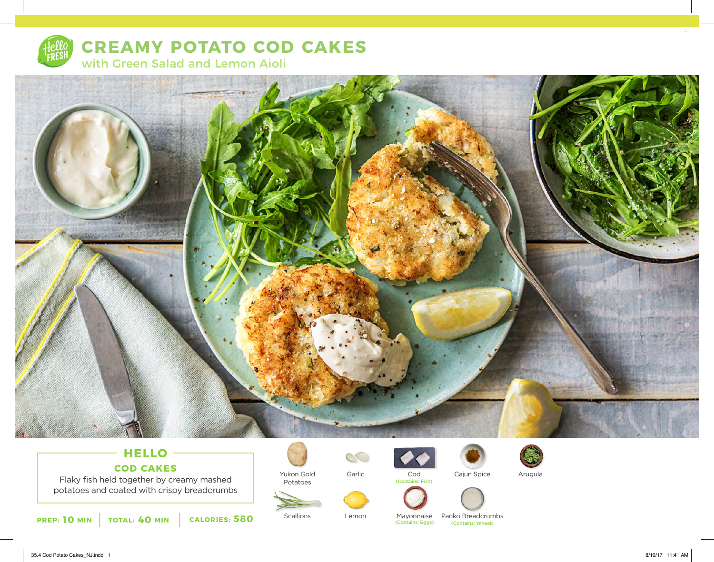

# **CREAMY POTATO COD CAKES** with Green Salad and Lemon Aioli



## **HELLO COD CAKES**

Flaky fish held together by creamy mashed potatoes and coated with crispy breadcrumbs



Yukon Gold Potatoes

**Scallions** 



Lemon



(Contains: Fish)

Cajun Spice







Mayonnaise Panko Breadcrumbs (Contains: Eggs) (Contains: Wheat)